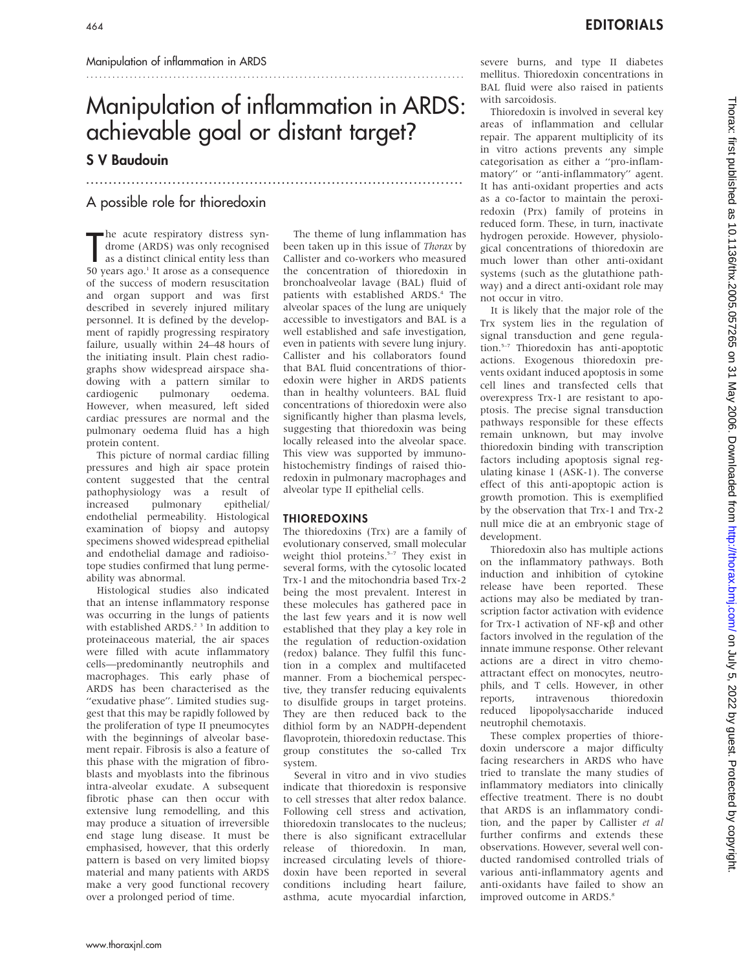# Manipulation of inflammation in ARDS: achievable goal or distant target?

...................................................................................

## S V Baudouin

### A possible role for thioredoxin

The acute respiratory distress syndrome (ARDS) was only recognised<br>as a distinct clinical entity less than<br>50 years ago.<sup>1</sup> It arose as a consequence he acute respiratory distress syndrome (ARDS) was only recognised as a distinct clinical entity less than of the success of modern resuscitation and organ support and was first described in severely injured military personnel. It is defined by the development of rapidly progressing respiratory failure, usually within 24–48 hours of the initiating insult. Plain chest radiographs show widespread airspace shadowing with a pattern similar to cardiogenic pulmonary oedema. However, when measured, left sided cardiac pressures are normal and the pulmonary oedema fluid has a high protein content.

This picture of normal cardiac filling pressures and high air space protein content suggested that the central pathophysiology was a result of increased pulmonary epithelial/ endothelial permeability. Histological examination of biopsy and autopsy specimens showed widespread epithelial and endothelial damage and radioisotope studies confirmed that lung permeability was abnormal.

Histological studies also indicated that an intense inflammatory response was occurring in the lungs of patients with established ARDS.<sup>2</sup><sup>3</sup> In addition to proteinaceous material, the air spaces were filled with acute inflammatory cells—predominantly neutrophils and macrophages. This early phase of ARDS has been characterised as the ''exudative phase''. Limited studies suggest that this may be rapidly followed by the proliferation of type II pneumocytes with the beginnings of alveolar basement repair. Fibrosis is also a feature of this phase with the migration of fibroblasts and myoblasts into the fibrinous intra-alveolar exudate. A subsequent fibrotic phase can then occur with extensive lung remodelling, and this may produce a situation of irreversible end stage lung disease. It must be emphasised, however, that this orderly pattern is based on very limited biopsy material and many patients with ARDS make a very good functional recovery over a prolonged period of time.

The theme of lung inflammation has been taken up in this issue of Thorax by Callister and co-workers who measured the concentration of thioredoxin in bronchoalveolar lavage (BAL) fluid of patients with established ARDS.<sup>4</sup> The alveolar spaces of the lung are uniquely accessible to investigators and BAL is a well established and safe investigation, even in patients with severe lung injury. Callister and his collaborators found that BAL fluid concentrations of thioredoxin were higher in ARDS patients than in healthy volunteers. BAL fluid concentrations of thioredoxin were also significantly higher than plasma levels, suggesting that thioredoxin was being locally released into the alveolar space. This view was supported by immunohistochemistry findings of raised thioredoxin in pulmonary macrophages and alveolar type II epithelial cells.

#### THIOREDOXINS

The thioredoxins (Trx) are a family of evolutionary conserved, small molecular weight thiol proteins.<sup>5-7</sup> They exist in several forms, with the cytosolic located Trx-1 and the mitochondria based Trx-2 being the most prevalent. Interest in these molecules has gathered pace in the last few years and it is now well established that they play a key role in the regulation of reduction-oxidation (redox) balance. They fulfil this function in a complex and multifaceted manner. From a biochemical perspective, they transfer reducing equivalents to disulfide groups in target proteins. They are then reduced back to the dithiol form by an NADPH-dependent flavoprotein, thioredoxin reductase. This group constitutes the so-called Trx system.

Several in vitro and in vivo studies indicate that thioredoxin is responsive to cell stresses that alter redox balance. Following cell stress and activation, thioredoxin translocates to the nucleus; there is also significant extracellular release of thioredoxin. In man, increased circulating levels of thioredoxin have been reported in several conditions including heart failure, asthma, acute myocardial infarction,

severe burns, and type II diabetes mellitus. Thioredoxin concentrations in BAL fluid were also raised in patients with sarcoidosis.

Thioredoxin is involved in several key areas of inflammation and cellular repair. The apparent multiplicity of its in vitro actions prevents any simple categorisation as either a ''pro-inflammatory'' or ''anti-inflammatory'' agent. It has anti-oxidant properties and acts as a co-factor to maintain the peroxiredoxin (Prx) family of proteins in reduced form. These, in turn, inactivate hydrogen peroxide. However, physiological concentrations of thioredoxin are much lower than other anti-oxidant systems (such as the glutathione pathway) and a direct anti-oxidant role may not occur in vitro.

It is likely that the major role of the Trx system lies in the regulation of signal transduction and gene regulation.<sup>5-7</sup> Thioredoxin has anti-apoptotic actions. Exogenous thioredoxin prevents oxidant induced apoptosis in some cell lines and transfected cells that overexpress Trx-1 are resistant to apoptosis. The precise signal transduction pathways responsible for these effects remain unknown, but may involve thioredoxin binding with transcription factors including apoptosis signal regulating kinase 1 (ASK-1). The converse effect of this anti-apoptopic action is growth promotion. This is exemplified by the observation that Trx-1 and Trx-2 null mice die at an embryonic stage of development.

Thioredoxin also has multiple actions on the inflammatory pathways. Both induction and inhibition of cytokine release have been reported. These actions may also be mediated by transcription factor activation with evidence for Trx-1 activation of  $NF - \kappa\beta$  and other factors involved in the regulation of the innate immune response. Other relevant actions are a direct in vitro chemoattractant effect on monocytes, neutrophils, and T cells. However, in other reports, intravenous thioredoxin reduced lipopolysaccharide induced neutrophil chemotaxis.

These complex properties of thioredoxin underscore a major difficulty facing researchers in ARDS who have tried to translate the many studies of inflammatory mediators into clinically effective treatment. There is no doubt that ARDS is an inflammatory condition, and the paper by Callister et al further confirms and extends these observations. However, several well conducted randomised controlled trials of various anti-inflammatory agents and anti-oxidants have failed to show an improved outcome in ARDS.<sup>8</sup>